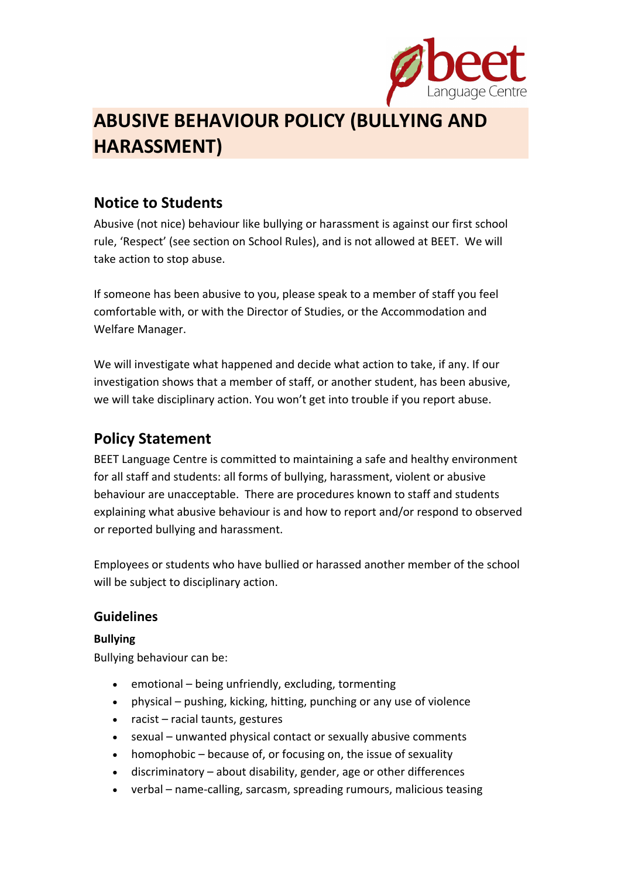

# **ABUSIVE BEHAVIOUR POLICY (BULLYING AND HARASSMENT)**

## **Notice to Students**

Abusive (not nice) behaviour like bullying or harassment is against our first school rule, 'Respect' (see section on School Rules), and is not allowed at BEET. We will take action to stop abuse.

If someone has been abusive to you, please speak to a member of staff you feel comfortable with, or with the Director of Studies, or the Accommodation and Welfare Manager.

We will investigate what happened and decide what action to take, if any. If our investigation shows that a member of staff, or another student, has been abusive, we will take disciplinary action. You won't get into trouble if you report abuse.

# **Policy Statement**

BEET Language Centre is committed to maintaining a safe and healthy environment for all staff and students: all forms of bullying, harassment, violent or abusive behaviour are unacceptable. There are procedures known to staff and students explaining what abusive behaviour is and how to report and/or respond to observed or reported bullying and harassment.

Employees or students who have bullied or harassed another member of the school will be subject to disciplinary action.

### **Guidelines**

### **Bullying**

Bullying behaviour can be:

- emotional being unfriendly, excluding, tormenting
- physical pushing, kicking, hitting, punching or any use of violence
- $\bullet$  racist racial taunts, gestures
- sexual unwanted physical contact or sexually abusive comments
- homophobic because of, or focusing on, the issue of sexuality
- discriminatory about disability, gender, age or other differences
- verbal name‐calling, sarcasm, spreading rumours, malicious teasing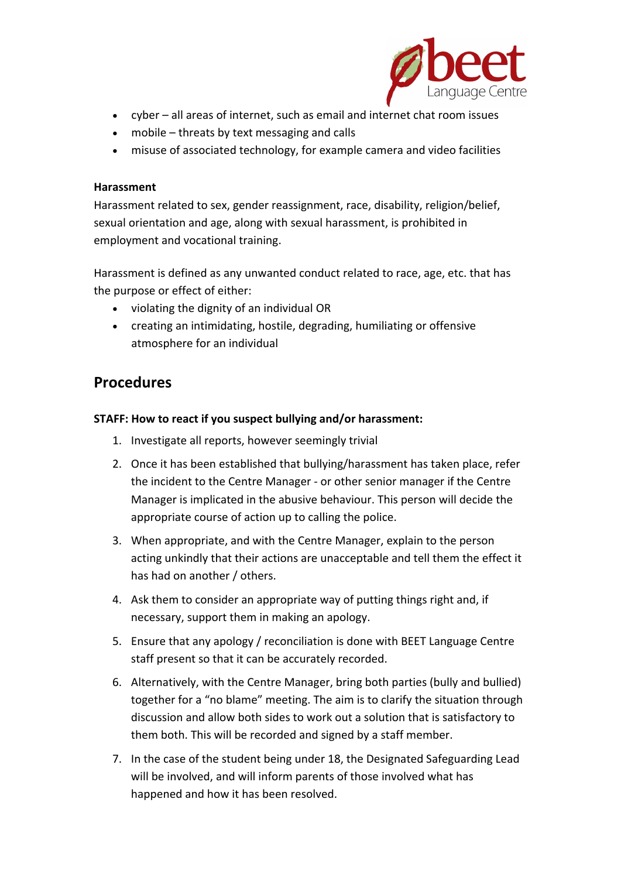

- cyber all areas of internet, such as email and internet chat room issues
- mobile threats by text messaging and calls
- misuse of associated technology, for example camera and video facilities

#### **Harassment**

Harassment related to sex, gender reassignment, race, disability, religion/belief, sexual orientation and age, along with sexual harassment, is prohibited in employment and vocational training.

Harassment is defined as any unwanted conduct related to race, age, etc. that has the purpose or effect of either:

- violating the dignity of an individual OR
- creating an intimidating, hostile, degrading, humiliating or offensive atmosphere for an individual

### **Procedures**

#### **STAFF: How to react if you suspect bullying and/or harassment:**

- 1. Investigate all reports, however seemingly trivial
- 2. Once it has been established that bullying/harassment has taken place, refer the incident to the Centre Manager ‐ or other senior manager if the Centre Manager is implicated in the abusive behaviour. This person will decide the appropriate course of action up to calling the police.
- 3. When appropriate, and with the Centre Manager, explain to the person acting unkindly that their actions are unacceptable and tell them the effect it has had on another / others.
- 4. Ask them to consider an appropriate way of putting things right and, if necessary, support them in making an apology.
- 5. Ensure that any apology / reconciliation is done with BEET Language Centre staff present so that it can be accurately recorded.
- 6. Alternatively, with the Centre Manager, bring both parties (bully and bullied) together for a "no blame" meeting. The aim is to clarify the situation through discussion and allow both sides to work out a solution that is satisfactory to them both. This will be recorded and signed by a staff member.
- 7. In the case of the student being under 18, the Designated Safeguarding Lead will be involved, and will inform parents of those involved what has happened and how it has been resolved.